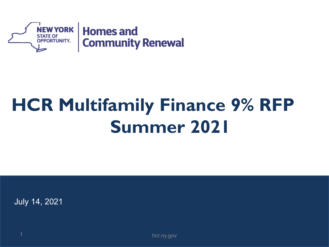

## **HCR Multifamily Finance 9% RFP Summer 2021**

July 14, 2021

1 hcr.ny.gov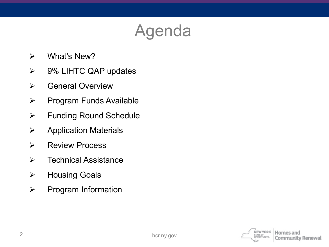## Agenda

- What's New?
- 9% LIHTC QAP updates
- **▶ General Overview**
- $\triangleright$  Program Funds Available
- Funding Round Schedule
- $\triangleright$  Application Materials
- **EXECUTE PROCESS**
- $\triangleright$  Technical Assistance
- **▶ Housing Goals**
- $\triangleright$  Program Information

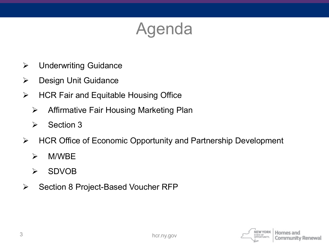### Agenda

- Underwriting Guidance
- > Design Unit Guidance
- $\triangleright$  HCR Fair and Equitable Housing Office
	- $\triangleright$  Affirmative Fair Housing Marketing Plan
	- $\triangleright$  Section 3
- HCR Office of Economic Opportunity and Partnership Development
	- M/WBE
	- SDVOB
- $\triangleright$  Section 8 Project-Based Voucher RFP

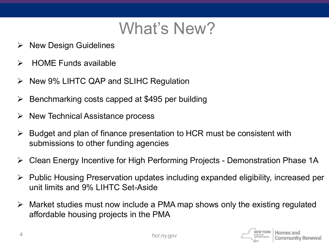### What's New?

- $\triangleright$  New Design Guidelines
- $\triangleright$  HOME Funds available
- $\triangleright$  New 9% LIHTC QAP and SLIHC Regulation
- $\triangleright$  Benchmarking costs capped at \$495 per building
- $\triangleright$  New Technical Assistance process
- $\triangleright$  Budget and plan of finance presentation to HCR must be consistent with submissions to other funding agencies
- Clean Energy Incentive for High Performing Projects Demonstration Phase 1A
- Public Housing Preservation updates including expanded eligibility, increased per unit limits and 9% LIHTC Set-Aside
- $\triangleright$  Market studies must now include a PMA map shows only the existing regulated affordable housing projects in the PMA

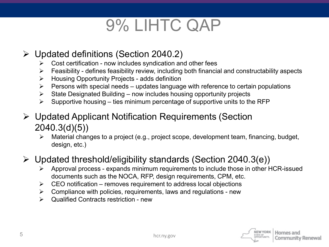### 9% LIHTC QAP

#### Updated definitions (Section 2040.2)

- $\triangleright$  Cost certification now includes syndication and other fees
- $\triangleright$  Feasibility defines feasibility review, including both financial and constructability aspects
- Housing Opportunity Projects adds definition
- $\triangleright$  Persons with special needs updates language with reference to certain populations
- $\triangleright$  State Designated Building now includes housing opportunity projects
- $\triangleright$  Supportive housing ties minimum percentage of supportive units to the RFP
- Updated Applicant Notification Requirements (Section 2040.3(d)(5))
	- Material changes to a project (e.g., project scope, development team, financing, budget, design, etc.)

#### Updated threshold/eligibility standards (Section 2040.3(e))

- Approval process expands minimum requirements to include those in other HCR-issued documents such as the NOCA, RFP, design requirements, CPM, etc.
- $\triangleright$  CEO notification removes requirement to address local objections
- $\triangleright$  Compliance with policies, requirements, laws and regulations new
- $\triangleright$  Qualified Contracts restriction new

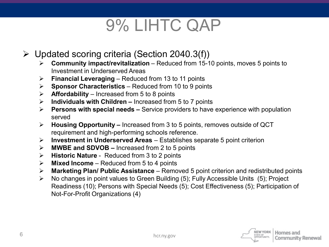### 9% LIHTC QAP

- $\triangleright$  Updated scoring criteria (Section 2040.3(f))
	- **Community impact/revitalization**  Reduced from 15-10 points, moves 5 points to Investment in Underserved Areas
	- **Financial Leveraging**  Reduced from 13 to 11 points
	- **Sponsor Characteristics**  Reduced from 10 to 9 points
	- $\triangleright$  **Affordability** Increased from 5 to 8 points
	- **Individuals with Children –** Increased from 5 to 7 points
	- **Persons with special needs –** Service providers to have experience with population served
	- **Housing Opportunity –** Increased from 3 to 5 points, removes outside of QCT requirement and high-performing schools reference.
	- **Investment in Underserved Areas**  Establishes separate 5 point criterion
	- **MWBE and SDVOB –** Increased from 2 to 5 points
	- **Historic Nature**  Reduced from 3 to 2 points
	- **Mixed Income**  Reduced from 5 to 4 points
	- **Marketing Plan/ Public Assistance**  Removed 5 point criterion and redistributed points
	- No changes in point values to Green Building (5); Fully Accessible Units (5); Project Readiness (10); Persons with Special Needs (5); Cost Effectiveness (5); Participation of Not-For-Profit Organizations (4)

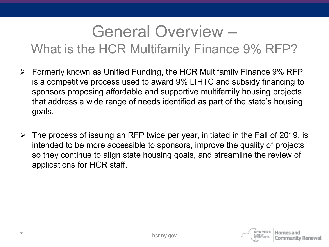### General Overview –

What is the HCR Multifamily Finance 9% RFP?

- $\triangleright$  Formerly known as Unified Funding, the HCR Multifamily Finance 9% RFP is a competitive process used to award 9% LIHTC and subsidy financing to sponsors proposing affordable and supportive multifamily housing projects that address a wide range of needs identified as part of the state's housing goals.
- $\triangleright$  The process of issuing an RFP twice per year, initiated in the Fall of 2019, is intended to be more accessible to sponsors, improve the quality of projects so they continue to align state housing goals, and streamline the review of applications for HCR staff.

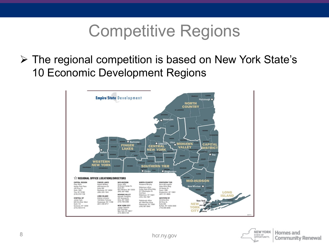### Competitive Regions

 The regional competition is based on New York State's 10 Economic Development Regions



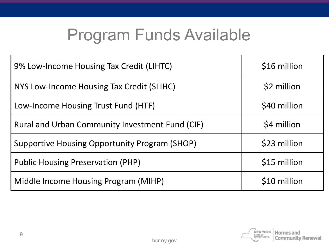### Program Funds Available

| 9% Low-Income Housing Tax Credit (LIHTC)        | \$16 million |
|-------------------------------------------------|--------------|
| NYS Low-Income Housing Tax Credit (SLIHC)       | \$2 million  |
| Low-Income Housing Trust Fund (HTF)             | \$40 million |
| Rural and Urban Community Investment Fund (CIF) | \$4 million  |
| Supportive Housing Opportunity Program (SHOP)   | \$23 million |
| <b>Public Housing Preservation (PHP)</b>        | \$15 million |
| Middle Income Housing Program (MIHP)            | \$10 million |

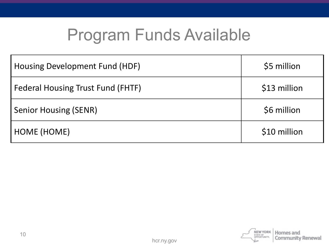### Program Funds Available

| Housing Development Fund (HDF)           | \$5 million  |
|------------------------------------------|--------------|
| <b>Federal Housing Trust Fund (FHTF)</b> | \$13 million |
| <b>Senior Housing (SENR)</b>             | \$6 million  |
| HOME (HOME)                              | \$10 million |

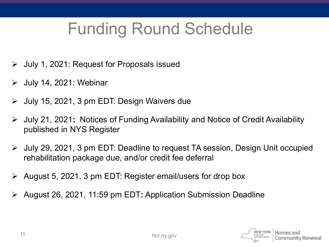## Funding Round Schedule

- $\triangleright$  July 1, 2021: Request for Proposals issued
- $\triangleright$  July 14, 2021: Webinar
- July 15, 2021, 3 pm EDT: Design Waivers due
- July 21, 2021**:** Notices of Funding Availability and Notice of Credit Availability published in NYS Register
- July 29, 2021, 3 pm EDT: Deadline to request TA session, Design Unit occupied rehabilitation package due, and/or credit fee deferral
- $\triangleright$  August 5, 2021, 3 pm EDT: Register email/users for drop box
- August 26, 2021, 11:59 pm EDT**:** Application Submission Deadline

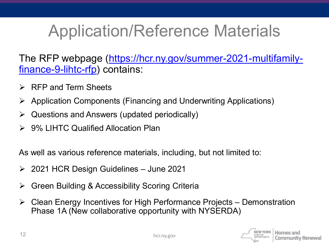## Application/Reference Materials

[The RFP webpage \(https://hcr.ny.gov/summer-2021-multifamily](https://hcr.ny.gov/summer-2021-multifamily-finance-9-lihtc-rfp)finance-9-lihtc-rfp) contains:

- $\triangleright$  RFP and Term Sheets
- Application Components (Financing and Underwriting Applications)
- $\triangleright$  Questions and Answers (updated periodically)
- **► 9% LIHTC Qualified Allocation Plan**

As well as various reference materials, including, but not limited to:

- 2021 HCR Design Guidelines June 2021
- Green Building & Accessibility Scoring Criteria
- $\triangleright$  Clean Energy Incentives for High Performance Projects Demonstration Phase 1A (New collaborative opportunity with NYSERDA)

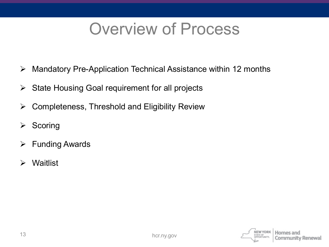### Overview of Process

- Mandatory Pre-Application Technical Assistance within 12 months
- $\triangleright$  State Housing Goal requirement for all projects
- $\triangleright$  Completeness, Threshold and Eligibility Review
- $\triangleright$  Scoring
- $\triangleright$  Funding Awards
- Waitlist

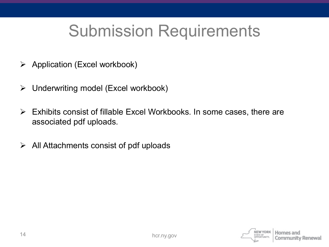### Submission Requirements

- $\triangleright$  Application (Excel workbook)
- Underwriting model (Excel workbook)
- $\triangleright$  Exhibits consist of fillable Excel Workbooks. In some cases, there are associated pdf uploads.
- $\triangleright$  All Attachments consist of pdf uploads

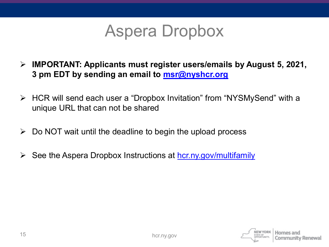

- **IMPORTANT: Applicants must register users/emails by August 5, 2021, 3 pm EDT by sending an email to [msr@nyshcr.org](mailto:msr@nyshcr.org)**
- HCR will send each user a "Dropbox Invitation" from "NYSMySend" with a unique URL that can not be shared
- $\triangleright$  Do NOT wait until the deadline to begin the upload process
- $\triangleright$  See the Aspera Dropbox Instructions at [hcr.ny.gov/multifamily](https://hcr.ny.gov/multifamily)

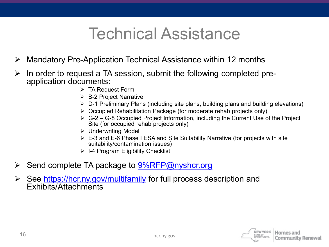### Technical Assistance

- Mandatory Pre-Application Technical Assistance within 12 months
- $\triangleright$  In order to request a TA session, submit the following completed pre-<br>application documents:
	- $\triangleright$  TA Request Form
	- **► B-2 Project Narrative**
	- $\triangleright$  D-1 Preliminary Plans (including site plans, building plans and building elevations)
	- $\triangleright$  Occupied Rehabilitation Package (for moderate rehab projects only)
	- $\triangleright$  G-2 G-8 Occupied Project Information, including the Current Use of the Project Site (for occupied rehab projects only)
	- Underwriting Model
	- $\triangleright$  E-3 and E-6 Phase I ESA and Site Suitability Narrative (for projects with site suitability/contamination issues)
	- $\triangleright$  I-4 Program Eligibility Checklist
- $\triangleright$  Send complete TA package to  $9\sqrt{8F}P@$ nyshcr.org
- ► See <https://hcr.ny.gov/multifamily> for full process description and Exhibits/Attachments

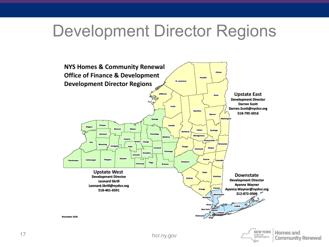#### Development Director Regions



Homes and

**Community Renewal** 

STATE OF OPPORTUNITY,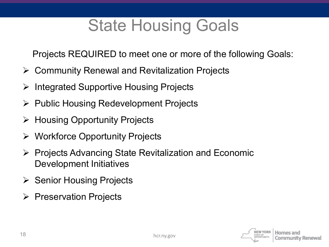### State Housing Goals

Projects REQUIRED to meet one or more of the following Goals:

- Community Renewal and Revitalization Projects
- $\triangleright$  Integrated Supportive Housing Projects
- $\triangleright$  Public Housing Redevelopment Projects
- $\triangleright$  Housing Opportunity Projects
- Workforce Opportunity Projects
- $\triangleright$  Projects Advancing State Revitalization and Economic Development Initiatives
- $\triangleright$  Senior Housing Projects
- $\triangleright$  Preservation Projects

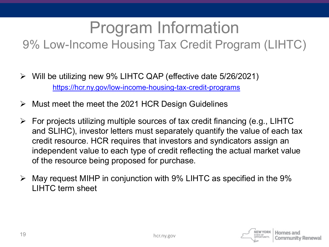## Program Information

#### 9% Low-Income Housing Tax Credit Program (LIHTC)

- $\triangleright$  Will be utilizing new 9% LIHTC QAP (effective date 5/26/2021) <https://hcr.ny.gov/low-income-housing-tax-credit-programs>
- $\triangleright$  Must meet the meet the 2021 HCR Design Guidelines
- $\triangleright$  For projects utilizing multiple sources of tax credit financing (e.g., LIHTC and SLIHC), investor letters must separately quantify the value of each tax credit resource. HCR requires that investors and syndicators assign an independent value to each type of credit reflecting the actual market value of the resource being proposed for purchase.
- $\triangleright$  May request MIHP in conjunction with 9% LIHTC as specified in the 9% LIHTC term sheet

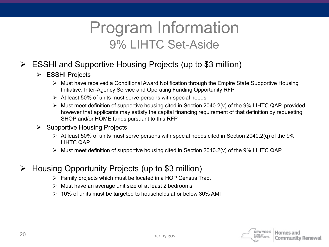#### Program Information 9% LIHTC Set-Aside

- ESSHI and Supportive Housing Projects (up to \$3 million)
	- ESSHI Projects
		- Must have received a Conditional Award Notification through the Empire State Supportive Housing Initiative, Inter-Agency Service and Operating Funding Opportunity RFP
		- $\triangleright$  At least 50% of units must serve persons with special needs
		- $\triangleright$  Must meet definition of supportive housing cited in Section 2040.2(v) of the 9% LIHTC QAP, provided however that applicants may satisfy the capital financing requirement of that definition by requesting SHOP and/or HOME funds pursuant to this RFP
	- $\triangleright$  Supportive Housing Projects
		- $\triangleright$  At least 50% of units must serve persons with special needs cited in Section 2040.2(q) of the 9% LIHTC QAP
		- $\triangleright$  Must meet definition of supportive housing cited in Section 2040.2(v) of the 9% LIHTC QAP
- $\triangleright$  Housing Opportunity Projects (up to \$3 million)
	- $\triangleright$  Family projects which must be located in a HOP Census Tract
	- $\triangleright$  Must have an average unit size of at least 2 bedrooms
	- $\geq 10\%$  of units must be targeted to households at or below 30% AMI

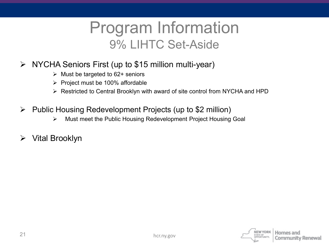#### Program Information 9% LIHTC Set-Aside

- NYCHA Seniors First (up to \$15 million multi-year)
	- $\triangleright$  Must be targeted to 62+ seniors
	- $\triangleright$  Project must be 100% affordable
	- ▶ Restricted to Central Brooklyn with award of site control from NYCHA and HPD
- $\triangleright$  Public Housing Redevelopment Projects (up to \$2 million)
	- Must meet the Public Housing Redevelopment Project Housing Goal
- $\triangleright$  Vital Brooklyn

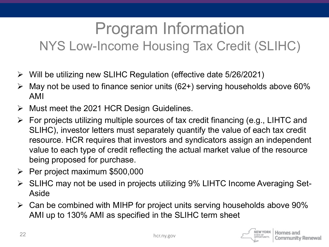#### Program Information NYS Low-Income Housing Tax Credit (SLIHC)

- $\triangleright$  Will be utilizing new SLIHC Regulation (effective date 5/26/2021)
- May not be used to finance senior units (62+) serving households above 60% AMI
- $\triangleright$  Must meet the 2021 HCR Design Guidelines.
- $\triangleright$  For projects utilizing multiple sources of tax credit financing (e.g., LIHTC and SLIHC), investor letters must separately quantify the value of each tax credit resource. HCR requires that investors and syndicators assign an independent value to each type of credit reflecting the actual market value of the resource being proposed for purchase.
- $\triangleright$  Per project maximum \$500,000
- SLIHC may not be used in projects utilizing 9% LIHTC Income Averaging Set-Aside
- $\triangleright$  Can be combined with MIHP for project units serving households above 90% AMI up to 130% AMI as specified in the SLIHC term sheet

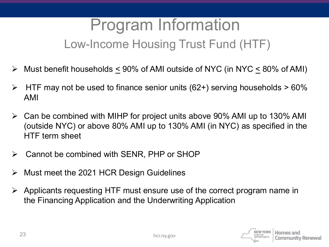#### Program Information Low-Income Housing Trust Fund (HTF)

- Must benefit households < 90% of AMI outside of NYC (in NYC < 80% of AMI)
- $\triangleright$  HTF may not be used to finance senior units (62+) serving households  $>60\%$ AMI
- Can be combined with MIHP for project units above 90% AMI up to 130% AMI (outside NYC) or above 80% AMI up to 130% AMI (in NYC) as specified in the HTF term sheet
- $\triangleright$  Cannot be combined with SENR, PHP or SHOP
- $\triangleright$  Must meet the 2021 HCR Design Guidelines
- $\triangleright$  Applicants requesting HTF must ensure use of the correct program name in the Financing Application and the Underwriting Application

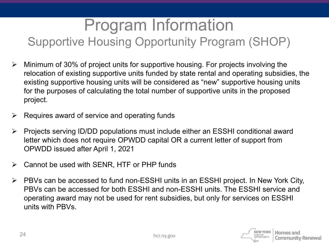#### Program Information Supportive Housing Opportunity Program (SHOP)

- Minimum of 30% of project units for supportive housing. For projects involving the relocation of existing supportive units funded by state rental and operating subsidies, the existing supportive housing units will be considered as "new" supportive housing units for the purposes of calculating the total number of supportive units in the proposed project.
- $\triangleright$  Requires award of service and operating funds
- Projects serving ID/DD populations must include either an ESSHI conditional award letter which does not require OPWDD capital OR a current letter of support from OPWDD issued after April 1, 2021
- $\triangleright$  Cannot be used with SENR, HTF or PHP funds
- PBVs can be accessed to fund non-ESSHI units in an ESSHI project. In New York City, PBVs can be accessed for both ESSHI and non-ESSHI units. The ESSHI service and operating award may not be used for rent subsidies, but only for services on ESSHI units with PBVs.

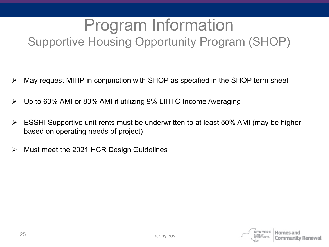#### Program Information Supportive Housing Opportunity Program (SHOP)

- $\triangleright$  May request MIHP in conjunction with SHOP as specified in the SHOP term sheet
- Up to 60% AMI or 80% AMI if utilizing 9% LIHTC Income Averaging
- $\triangleright$  ESSHI Supportive unit rents must be underwritten to at least 50% AMI (may be higher based on operating needs of project)
- $\triangleright$  Must meet the 2021 HCR Design Guidelines

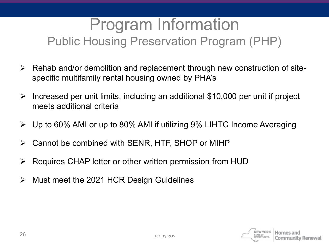#### Program Information Public Housing Preservation Program (PHP)

- $\triangleright$  Rehab and/or demolition and replacement through new construction of sitespecific multifamily rental housing owned by PHA's
- $\triangleright$  Increased per unit limits, including an additional \$10,000 per unit if project meets additional criteria
- $\triangleright$  Up to 60% AMI or up to 80% AMI if utilizing 9% LIHTC Income Averaging
- Cannot be combined with SENR, HTF, SHOP or MIHP
- Requires CHAP letter or other written permission from HUD
- $\triangleright$  Must meet the 2021 HCR Design Guidelines

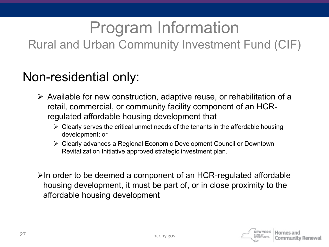## Program Information

#### Rural and Urban Community Investment Fund (CIF)

#### Non-residential only:

- $\triangleright$  Available for new construction, adaptive reuse, or rehabilitation of a retail, commercial, or community facility component of an HCRregulated affordable housing development that
	- $\triangleright$  Clearly serves the critical unmet needs of the tenants in the affordable housing development; or
	- Clearly advances a Regional Economic Development Council or Downtown Revitalization Initiative approved strategic investment plan.

 $\triangleright$ In order to be deemed a component of an HCR-regulated affordable housing development, it must be part of, or in close proximity to the affordable housing development

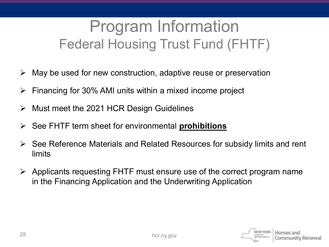#### Program Information Federal Housing Trust Fund (FHTF)

- May be used for new construction, adaptive reuse or preservation
- $\triangleright$  Financing for 30% AMI units within a mixed income project
- Must meet the 2021 HCR Design Guidelines
- See FHTF term sheet for environmental **prohibitions**
- $\triangleright$  See Reference Materials and Related Resources for subsidy limits and rent limits
- $\triangleright$  Applicants requesting FHTF must ensure use of the correct program name in the Financing Application and the Underwriting Application

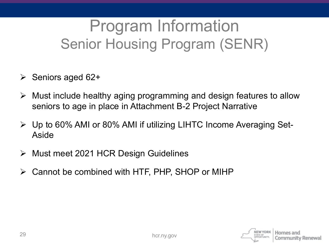### Program Information Senior Housing Program (SENR)

- $\triangleright$  Seniors aged 62+
- $\triangleright$  Must include healthy aging programming and design features to allow seniors to age in place in Attachment B-2 Project Narrative
- Up to 60% AMI or 80% AMI if utilizing LIHTC Income Averaging Set-Aside
- Must meet 2021 HCR Design Guidelines
- $\triangleright$  Cannot be combined with HTF, PHP, SHOP or MIHP

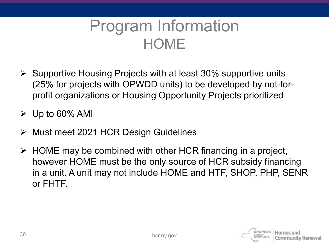#### Program Information **HOME**

 $\triangleright$  Supportive Housing Projects with at least 30% supportive units (25% for projects with OPWDD units) to be developed by not-forprofit organizations or Housing Opportunity Projects prioritized

 $\triangleright$  Up to 60% AMI

- Must meet 2021 HCR Design Guidelines
- $\triangleright$  HOME may be combined with other HCR financing in a project, however HOME must be the only source of HCR subsidy financing in a unit. A unit may not include HOME and HTF, SHOP, PHP, SENR or FHTF.

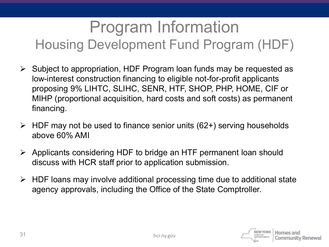### Program Information Housing Development Fund Program (HDF)

- $\triangleright$  Subject to appropriation, HDF Program loan funds may be requested as low-interest construction financing to eligible not-for-profit applicants proposing 9% LIHTC, SLIHC, SENR, HTF, SHOP, PHP, HOME, CIF or MIHP (proportional acquisition, hard costs and soft costs) as permanent financing.
- $\triangleright$  HDF may not be used to finance senior units (62+) serving households above 60% AMI
- Applicants considering HDF to bridge an HTF permanent loan should discuss with HCR staff prior to application submission.
- $\triangleright$  HDF loans may involve additional processing time due to additional state agency approvals, including the Office of the State Comptroller.

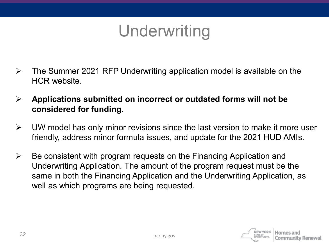### Underwriting

- $\triangleright$  The Summer 2021 RFP Underwriting application model is available on the HCR website.
- **Applications submitted on incorrect or outdated forms will not be considered for funding.**
- $\triangleright$  UW model has only minor revisions since the last version to make it more user friendly, address minor formula issues, and update for the 2021 HUD AMIs.
- $\triangleright$  Be consistent with program requests on the Financing Application and Underwriting Application. The amount of the program request must be the same in both the Financing Application and the Underwriting Application, as well as which programs are being requested.

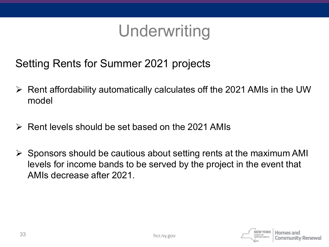### Underwriting

Setting Rents for Summer 2021 projects

- $\triangleright$  Rent affordability automatically calculates off the 2021 AMIs in the UW model
- $\triangleright$  Rent levels should be set based on the 2021 AMIs
- $\triangleright$  Sponsors should be cautious about setting rents at the maximum AMI levels for income bands to be served by the project in the event that AMIs decrease after 2021.

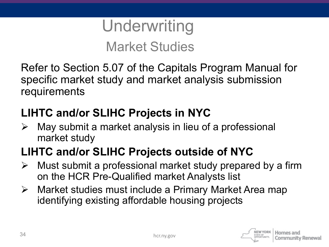### **Underwriting** Market Studies

Refer to Section 5.07 of the Capitals Program Manual for specific market study and market analysis submission requirements

#### **LIHTC and/or SLIHC Projects in NYC**

 $\triangleright$  May submit a market analysis in lieu of a professional market study

#### **LIHTC and/or SLIHC Projects outside of NYC**

- $\triangleright$  Must submit a professional market study prepared by a firm on the HCR Pre-Qualified market Analysts list
- Market studies must include a Primary Market Area map identifying existing affordable housing projects

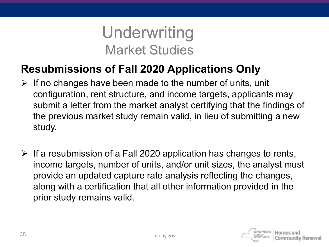#### Underwriting Market Studies

#### **Resubmissions of Fall 2020 Applications Only**

- $\triangleright$  If no changes have been made to the number of units, unit configuration, rent structure, and income targets, applicants may submit a letter from the market analyst certifying that the findings of the previous market study remain valid, in lieu of submitting a new study.
- $\triangleright$  If a resubmission of a Fall 2020 application has changes to rents, income targets, number of units, and/or unit sizes, the analyst must provide an updated capture rate analysis reflecting the changes, along with a certification that all other information provided in the prior study remains valid.

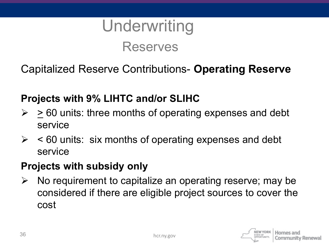

Capitalized Reserve Contributions- **Operating Reserve**

#### **Projects with 9% LIHTC and/or SLIHC**

- $\ge$  > 60 units: three months of operating expenses and debt service
- $\ge$  < 60 units: six months of operating expenses and debt service

#### **Projects with subsidy only**

 $\triangleright$  No requirement to capitalize an operating reserve; may be considered if there are eligible project sources to cover the cost

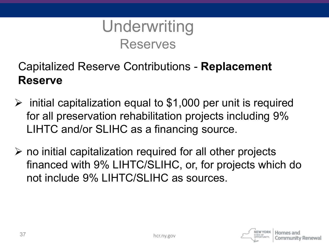

#### Capitalized Reserve Contributions - **Replacement Reserve**

- $\triangleright$  initial capitalization equal to \$1,000 per unit is required for all preservation rehabilitation projects including 9% LIHTC and/or SLIHC as a financing source.
- $\triangleright$  no initial capitalization required for all other projects financed with 9% LIHTC/SLIHC, or, for projects which do not include 9% LIHTC/SLIHC as sources.

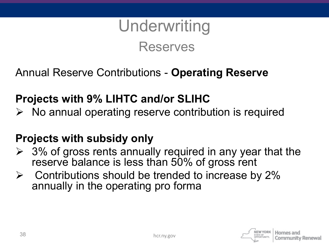## **Underwriting** Reserves

Annual Reserve Contributions - **Operating Reserve**

#### **Projects with 9% LIHTC and/or SLIHC**

 $\triangleright$  No annual operating reserve contribution is required

#### **Projects with subsidy only**

- $\geq$  3% of gross rents annually required in any year that the reserve balance is less than 50% of gross rent
- $\triangleright$  Contributions should be trended to increase by 2% annually in the operating pro forma

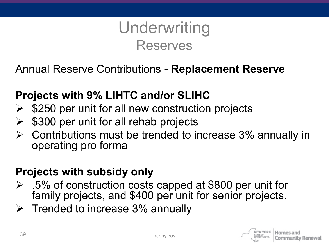#### **Underwriting** Reserves

Annual Reserve Contributions - **Replacement Reserve**

#### **Projects with 9% LIHTC and/or SLIHC**

- \$250 per unit for all new construction projects
- \$300 per unit for all rehab projects
- $\triangleright$  Contributions must be trended to increase 3% annually in operating pro forma

#### **Projects with subsidy only**

- .5% of construction costs capped at \$800 per unit for family projects, and \$400 per unit for senior projects.
- $\triangleright$  Trended to increase 3% annually

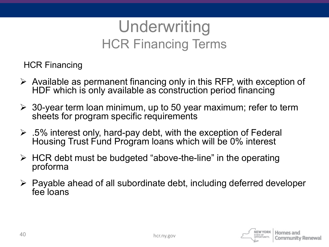#### **Underwriting** HCR Financing Terms

HCR Financing

- $\triangleright$  Available as permanent financing only in this RFP, with exception of HDF which is only available as construction period financing
- $\geq$  30-year term loan minimum, up to 50 year maximum; refer to term sheets for program specific requirements
- $\geq$  .5% interest only, hard-pay debt, with the exception of Federal Housing Trust Fund Program loans which will be 0% interest
- $\triangleright$  HCR debt must be budgeted "above-the-line" in the operating proforma
- $\triangleright$  Payable ahead of all subordinate debt, including deferred developer fee loans

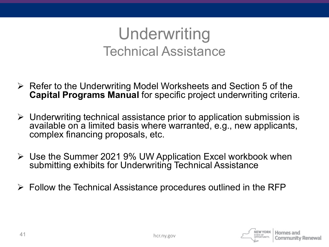#### Underwriting Technical Assistance

- $\triangleright$  Refer to the Underwriting Model Worksheets and Section 5 of the **Capital Programs Manual** for specific project underwriting criteria.
- $\triangleright$  Underwriting technical assistance prior to application submission is available on a limited basis where warranted, e.g., new applicants, complex financing proposals, etc.
- Use the Summer 2021 9% UW Application Excel workbook when submitting exhibits for Underwriting Technical Assistance
- $\triangleright$  Follow the Technical Assistance procedures outlined in the RFP

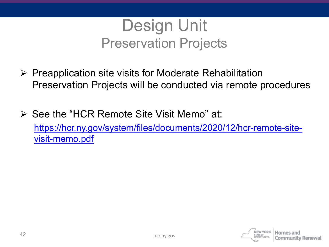

- $\triangleright$  Preapplication site visits for Moderate Rehabilitation Preservation Projects will be conducted via remote procedures
- $\triangleright$  See the "HCR Remote Site Visit Memo" at: [https://hcr.ny.gov/system/files/documents/2020/12/hcr-remote-site](https://hcr.ny.gov/system/files/documents/2020/12/hcr-remote-site-visit-memo.pdf)visit-memo.pdf

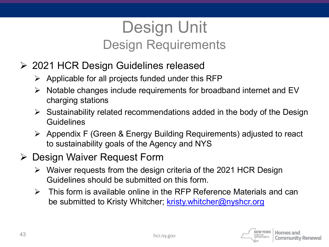#### Design Unit Design Requirements

- 2021 HCR Design Guidelines released
	- $\triangleright$  Applicable for all projects funded under this RFP
	- $\triangleright$  Notable changes include requirements for broadband internet and EV charging stations
	- $\triangleright$  Sustainability related recommendations added in the body of the Design Guidelines
	- $\triangleright$  Appendix F (Green & Energy Building Requirements) adjusted to react to sustainability goals of the Agency and NYS

#### **▶ Design Waiver Request Form**

- $\triangleright$  Waiver requests from the design criteria of the 2021 HCR Design Guidelines should be submitted on this form.
- $\triangleright$  This form is available online in the RFP Reference Materials and can be submitted to Kristy Whitcher; [kristy.whitcher@nyshcr.org](mailto:kristy.whitcher@nyshcr.org)

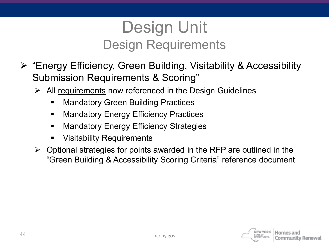#### Design Unit Design Requirements

- "Energy Efficiency, Green Building, Visitability & Accessibility Submission Requirements & Scoring"
	- $\triangleright$  All requirements now referenced in the Design Guidelines
		- Mandatory Green Building Practices
		- Mandatory Energy Efficiency Practices
		- Mandatory Energy Efficiency Strategies
		- Visitability Requirements
	- $\triangleright$  Optional strategies for points awarded in the RFP are outlined in the "Green Building & Accessibility Scoring Criteria" reference document

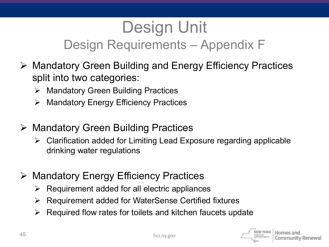#### Design Unit Design Requirements – Appendix F

- Mandatory Green Building and Energy Efficiency Practices split into two categories:
	- $\triangleright$  Mandatory Green Building Practices
	- $\triangleright$  Mandatory Energy Efficiency Practices
- Mandatory Green Building Practices
	- $\triangleright$  Clarification added for Limiting Lead Exposure regarding applicable drinking water regulations
- Mandatory Energy Efficiency Practices
	- $\triangleright$  Requirement added for all electric appliances
	- $\triangleright$  Requirement added for WaterSense Certified fixtures
	- $\triangleright$  Required flow rates for toilets and kitchen faucets update

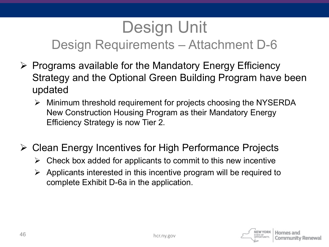#### Design Unit Design Requirements – Attachment D-6

- $\triangleright$  Programs available for the Mandatory Energy Efficiency Strategy and the Optional Green Building Program have been updated
	- Minimum threshold requirement for projects choosing the NYSERDA New Construction Housing Program as their Mandatory Energy Efficiency Strategy is now Tier 2.
- Clean Energy Incentives for High Performance Projects
	- $\triangleright$  Check box added for applicants to commit to this new incentive
	- $\triangleright$  Applicants interested in this incentive program will be required to complete Exhibit D-6a in the application.

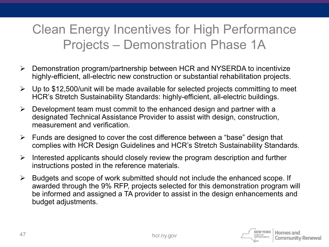#### Clean Energy Incentives for High Performance Projects – Demonstration Phase 1A

- $\triangleright$  Demonstration program/partnership between HCR and NYSERDA to incentivize highly-efficient, all-electric new construction or substantial rehabilitation projects.
- $\triangleright$  Up to \$12,500/unit will be made available for selected projects committing to meet HCR's Stretch Sustainability Standards: highly-efficient, all-electric buildings.
- $\triangleright$  Development team must commit to the enhanced design and partner with a designated Technical Assistance Provider to assist with design, construction, measurement and verification.
- $\triangleright$  Funds are designed to cover the cost difference between a "base" design that complies with HCR Design Guidelines and HCR's Stretch Sustainability Standards.
- $\triangleright$  Interested applicants should closely review the program description and further instructions posted in the reference materials.
- $\triangleright$  Budgets and scope of work submitted should not include the enhanced scope. If awarded through the 9% RFP, projects selected for this demonstration program will be informed and assigned a TA provider to assist in the design enhancements and budget adjustments.

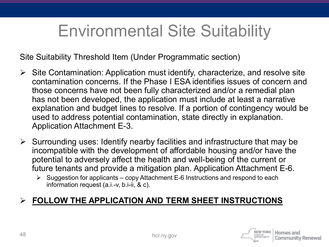### Environmental Site Suitability

Site Suitability Threshold Item (Under Programmatic section)

- $\triangleright$  Site Contamination: Application must identify, characterize, and resolve site contamination concerns. If the Phase I ESA identifies issues of concern and those concerns have not been fully characterized and/or a remedial plan has not been developed, the application must include at least a narrative explanation and budget lines to resolve. If a portion of contingency would be used to address potential contamination, state directly in explanation. Application Attachment E-3.
- $\triangleright$  Surrounding uses: Identify nearby facilities and infrastructure that may be incompatible with the development of affordable housing and/or have the potential to adversely affect the health and well-being of the current or future tenants and provide a mitigation plan. Application Attachment E-6.
	- $\triangleright$  Suggestion for applicants copy Attachment E-6 Instructions and respond to each information request (a.i.-v, b.i-ii, & c).

#### **FOLLOW THE APPLICATION AND TERM SHEET INSTRUCTIONS**

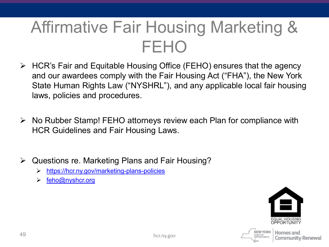## Affirmative Fair Housing Marketing & FEHO

- HCR's Fair and Equitable Housing Office (FEHO) ensures that the agency and our awardees comply with the Fair Housing Act ("FHA"), the New York State Human Rights Law ("NYSHRL"), and any applicable local fair housing laws, policies and procedures.
- $\triangleright$  No Rubber Stamp! FEHO attorneys review each Plan for compliance with HCR Guidelines and Fair Housing Laws.
- $\triangleright$  Questions re. Marketing Plans and Fair Housing?
	- <https://hcr.ny.gov/marketing-plans-policies>
	- $\triangleright$  [feho@nyshcr.org](mailto:feho@nyshcr.org)



NEW YORK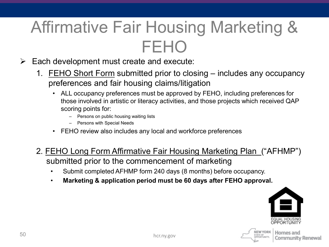## Affirmative Fair Housing Marketing & FEHO

- $\triangleright$  Each development must create and execute:
	- 1. FEHO Short Form submitted prior to closing includes any occupancy preferences and fair housing claims/litigation
		- ALL occupancy preferences must be approved by FEHO, including preferences for those involved in artistic or literacy activities, and those projects which received QAP scoring points for:
			- Persons on public housing waiting lists
			- Persons with Special Needs
		- FEHO review also includes any local and workforce preferences
	- 2. FEHO Long Form Affirmative Fair Housing Marketing Plan ("AFHMP") submitted prior to the commencement of marketing
		- Submit completed AFHMP form 240 days (8 months) before occupancy.
		- **Marketing & application period must be 60 days after FEHO approval.**



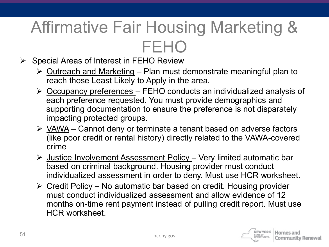## Affirmative Fair Housing Marketing & FEHO

- $\triangleright$  Special Areas of Interest in FEHO Review
	- $\triangleright$  Outreach and Marketing Plan must demonstrate meaningful plan to reach those Least Likely to Apply in the area.
	- Occupancy preferences FEHO conducts an individualized analysis of each preference requested. You must provide demographics and supporting documentation to ensure the preference is not disparately impacting protected groups.
	- $\triangleright$  VAWA Cannot deny or terminate a tenant based on adverse factors (like poor credit or rental history) directly related to the VAWA-covered crime
	- $\triangleright$  Justice Involvement Assessment Policy Very limited automatic bar based on criminal background. Housing provider must conduct individualized assessment in order to deny. Must use HCR worksheet.
	- $\triangleright$  Credit Policy No automatic bar based on credit. Housing provider must conduct individualized assessment and allow evidence of 12 months on-time rent payment instead of pulling credit report. Must use HCR worksheet.

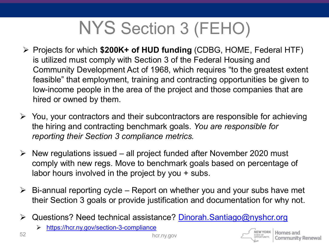## NYS Section 3 (FEHO)

- Projects for which **\$200K+ of HUD funding** (CDBG, HOME, Federal HTF) is utilized must comply with Section 3 of the Federal Housing and Community Development Act of 1968, which requires "to the greatest extent feasible" that employment, training and contracting opportunities be given to low-income people in the area of the project and those companies that are hired or owned by them.
- $\triangleright$  You, your contractors and their subcontractors are responsible for achieving the hiring and contracting benchmark goals. *You are responsible for reporting their Section 3 compliance metrics.*
- $\triangleright$  New regulations issued all project funded after November 2020 must comply with new regs. Move to benchmark goals based on percentage of labor hours involved in the project by you + subs.
- $\triangleright$  Bi-annual reporting cycle Report on whether you and your subs have met their Section 3 goals or provide justification and documentation for why not.
- ▶ Questions? Need technical assistance? Dinorah. Santiago@nyshcr.org
	- <https://hcr.ny.gov/section-3-compliance>

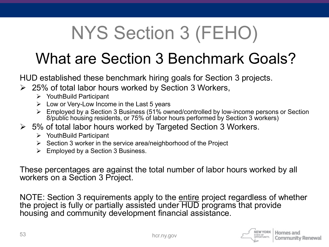## NYS Section 3 (FEHO)

#### What are Section 3 Benchmark Goals?

HUD established these benchmark hiring goals for Section 3 projects.

- $\geq$  25% of total labor hours worked by Section 3 Workers,
	- YouthBuild Participant
	- $\triangleright$  Low or Very-Low Income in the Last 5 years
	- Employed by a Section 3 Business (51% owned/controlled by low-income persons or Section 8/public housing residents, or 75% of labor hours performed by Section 3 workers)
- $\geq$  5% of total labor hours worked by Targeted Section 3 Workers.
	- **▶ YouthBuild Participant**
	- $\triangleright$  Section 3 worker in the service area/neighborhood of the Project
	- $\triangleright$  Employed by a Section 3 Business.

These percentages are against the total number of labor hours worked by all workers on a Section 3 Project.

NOTE: Section 3 requirements apply to the entire project regardless of whether the project is fully or partially assisted under HUD programs that provide housing and community development financial assistance.

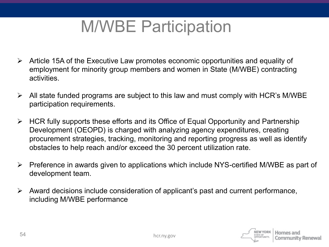### M/WBE Participation

- Article 15A of the Executive Law promotes economic opportunities and equality of employment for minority group members and women in State (M/WBE) contracting activities.
- $\triangleright$  All state funded programs are subject to this law and must comply with HCR's M/WBE participation requirements.
- $\triangleright$  HCR fully supports these efforts and its Office of Equal Opportunity and Partnership Development (OEOPD) is charged with analyzing agency expenditures, creating procurement strategies, tracking, monitoring and reporting progress as well as identify obstacles to help reach and/or exceed the 30 percent utilization rate.
- $\triangleright$  Preference in awards given to applications which include NYS-certified M/WBE as part of development team.
- $\triangleright$  Award decisions include consideration of applicant's past and current performance, including M/WBE performance

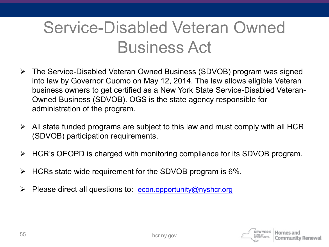## Service-Disabled Veteran Owned Business Act

- The Service-Disabled Veteran Owned Business (SDVOB) program was signed into law by Governor Cuomo on May 12, 2014. The law allows eligible Veteran business owners to get certified as a New York State Service-Disabled Veteran-Owned Business (SDVOB). OGS is the state agency responsible for administration of the program.
- $\triangleright$  All state funded programs are subject to this law and must comply with all HCR (SDVOB) participation requirements.
- $\triangleright$  HCR's OEOPD is charged with monitoring compliance for its SDVOB program.
- HCRs state wide requirement for the SDVOB program is 6%.
- Please direct all questions to: [econ.opportunity@nyshcr.org](mailto:econ.opportunity@nyshcr.org)

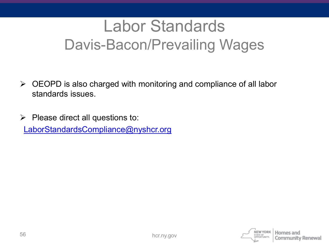### Labor Standards Davis-Bacon/Prevailing Wages

- $\triangleright$  OEOPD is also charged with monitoring and compliance of all labor standards issues.
- $\triangleright$  Please direct all questions to: [LaborStandardsCompliance@nyshcr.org](mailto:LaborStandardsCompliance@nyshcr.org)

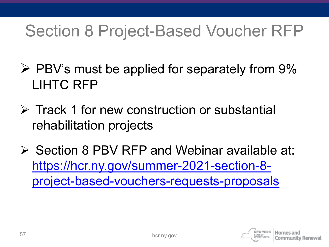## Section 8 Project-Based Voucher RFP

- $\triangleright$  PBV's must be applied for separately from 9% LIHTC RFP
- **EXTRACK 1 for new construction or substantial** rehabilitation projects
- $\triangleright$  Section 8 PBV RFP and Webinar available at: https://hcr.ny.gov/summer-2021-section-8 [project-based-vouchers-requests-proposals](https://hcr.ny.gov/summer-2021-section-8-project-based-vouchers-requests-proposals)

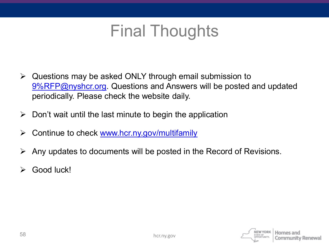#### Final Thoughts

- $\triangleright$  Questions may be asked ONLY through email submission to [9%RFP@nyshcr.org](mailto:9%25RFP@nyshcr.org). Questions and Answers will be posted and updated periodically. Please check the website daily.
- $\triangleright$  Don't wait until the last minute to begin the application
- $\triangleright$  Continue to check [www.hcr.ny.gov/multifamily](http://www.hcr.ny.gov/multifamily)
- $\triangleright$  Any updates to documents will be posted in the Record of Revisions.
- $\triangleright$  Good luck!

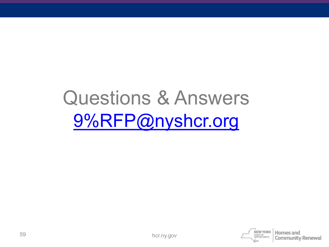## Questions & Answers [9%RFP@nyshcr.org](mailto:9%25RFP@nyshcr.org)